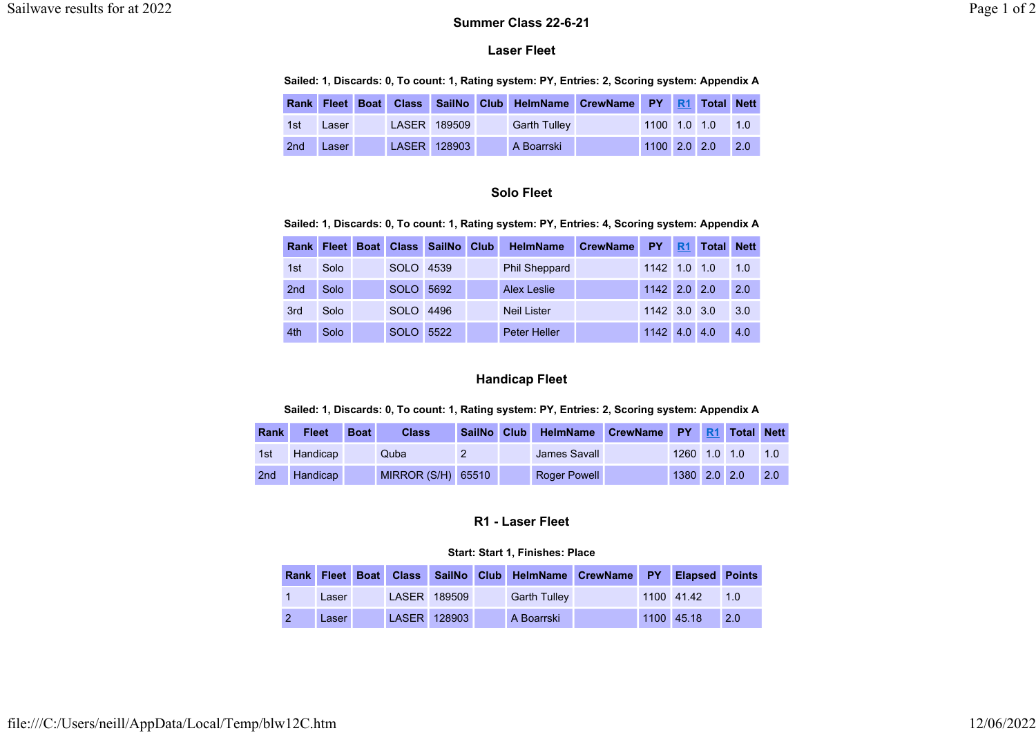### Laser Fleet

### Sailed: 1, Discards: 0, To count: 1, Rating system: PY, Entries: 2, Scoring system: Appendix A

| Rank            |       |  |              | Fleet Boat Class SailNo Club HelmName CrewName PY R1 Total Nett |                |                  |                  |
|-----------------|-------|--|--------------|-----------------------------------------------------------------|----------------|------------------|------------------|
| 1st             | Laser |  | LASER 189509 | <b>Garth Tulley</b>                                             |                | 1100 1.0 1.0 1.0 |                  |
| 2 <sub>nd</sub> | Laser |  | LASER 128903 | A Boarrski                                                      | $1100$ 2.0 2.0 |                  | $\overline{2.0}$ |

# Solo Fleet

### Sailed: 1, Discards: 0, To count: 1, Rating system: PY, Entries: 4, Scoring system: Appendix A

|     | <b>Rank Fleet</b> |             | Boat Class SailNo Club | <b>HelmName</b>      | <b>CrewName</b> | <b>PY</b>      | R <sub>1</sub> | <b>Total</b> | <b>Nett</b> |
|-----|-------------------|-------------|------------------------|----------------------|-----------------|----------------|----------------|--------------|-------------|
| 1st | Solo              | <b>SOLO</b> | 4539                   | <b>Phil Sheppard</b> |                 | 1142 1.0 1.0   |                |              | 1.0         |
| 2nd | Solo              | <b>SOLO</b> | 5692                   | Alex Leslie          |                 | $1142$ 2.0 2.0 |                |              | 2.0         |
| 3rd | Solo              | <b>SOLO</b> | 4496                   | <b>Neil Lister</b>   |                 | $1142$ 3.0 3.0 |                |              | 3.0         |
| 4th | Solo              | <b>SOLO</b> | 5522                   | Peter Heller         |                 | 1142           | $4.0 \, 4.0$   |              | 4.0         |

## Handicap Fleet

### Sailed: 1, Discards: 0, To count: 1, Rating system: PY, Entries: 2, Scoring system: Appendix A

| <b>Rank</b>     | <b>Fleet</b> | <b>Boat</b> | <b>Class</b>       | SailNo | Club HelmName CrewName PY R1 Total Nett |              |  |     |
|-----------------|--------------|-------------|--------------------|--------|-----------------------------------------|--------------|--|-----|
| 1st             | Handicap     |             | Quba               |        | James Savall                            | 1260 1.0 1.0 |  | 1.0 |
| 2 <sub>nd</sub> | Handicap     |             | MIRROR (S/H) 65510 |        | <b>Roger Powell</b>                     | 1380 2.0 2.0 |  | 2.0 |

# R1 - Laser Fleet

### Start: Start 1, Finishes: Place

|       |  |              | Rank Fleet Boat Class SailNo Club HelmName CrewName PY Elapsed Points |  |            |                 |
|-------|--|--------------|-----------------------------------------------------------------------|--|------------|-----------------|
| Laser |  | LASER 189509 | <b>Garth Tulley</b>                                                   |  | 1100 41.42 | $\overline{10}$ |
| Laser |  | LASER 128903 | A Boarrski                                                            |  | 1100 45.18 | 2.0             |